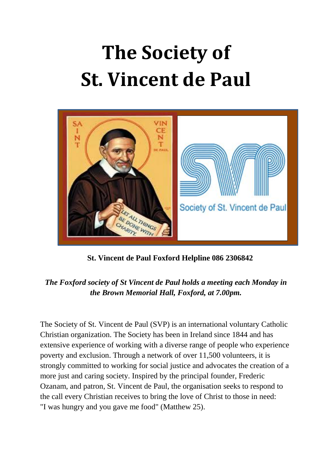## **The Society of St. Vincent de Paul**



 **St. Vincent de Paul Foxford Helpline 086 2306842**

## *The Foxford society of St Vincent de Paul holds a meeting each Monday in the Brown Memorial Hall, Foxford, at 7.00pm.*

The Society of St. Vincent de Paul (SVP) is an international voluntary Catholic Christian organization. The Society has been in Ireland since 1844 and has extensive experience of working with a diverse range of people who experience poverty and exclusion. Through a network of over 11,500 volunteers, it is strongly committed to working for social justice and advocates the creation of a more just and caring society. Inspired by the principal founder, Frederic Ozanam, and patron, St. Vincent de Paul, the organisation seeks to respond to the call every Christian receives to bring the love of Christ to those in need: "I was hungry and you gave me food" (Matthew 25).